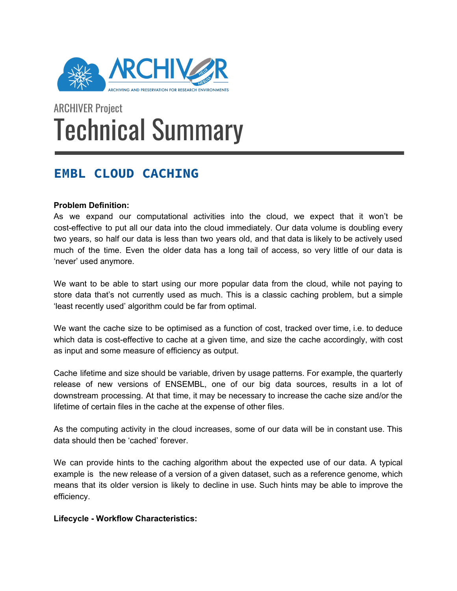

# ARCHIVER Project Technical Summary

# **EMBL CLOUD CACHING**

# **Problem Definition:**

As we expand our computational activities into the cloud, we expect that it won't be cost-effective to put all our data into the cloud immediately. Our data volume is doubling every two years, so half our data is less than two years old, and that data is likely to be actively used much of the time. Even the older data has a long tail of access, so very little of our data is 'never' used anymore.

We want to be able to start using our more popular data from the cloud, while not paying to store data that's not currently used as much. This is a classic caching problem, but a simple 'least recently used' algorithm could be far from optimal.

We want the cache size to be optimised as a function of cost, tracked over time, i.e. to deduce which data is cost-effective to cache at a given time, and size the cache accordingly, with cost as input and some measure of efficiency as output.

Cache lifetime and size should be variable, driven by usage patterns. For example, the quarterly release of new versions of ENSEMBL, one of our big data sources, results in a lot of downstream processing. At that time, it may be necessary to increase the cache size and/or the lifetime of certain files in the cache at the expense of other files.

As the computing activity in the cloud increases, some of our data will be in constant use. This data should then be 'cached' forever.

We can provide hints to the caching algorithm about the expected use of our data. A typical example is the new release of a version of a given dataset, such as a reference genome, which means that its older version is likely to decline in use. Such hints may be able to improve the efficiency.

**Lifecycle - Workflow Characteristics:**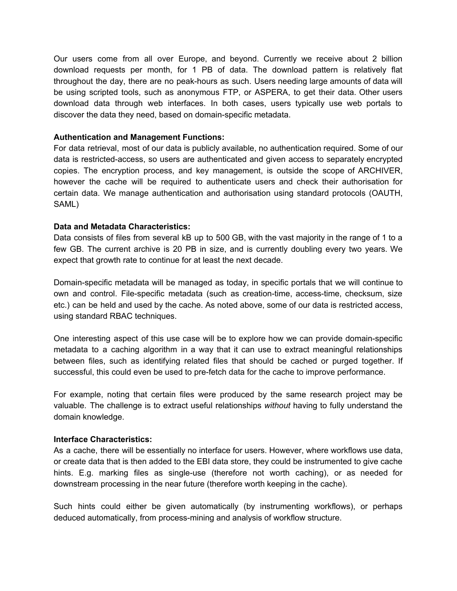Our users come from all over Europe, and beyond. Currently we receive about 2 billion download requests per month, for 1 PB of data. The download pattern is relatively flat throughout the day, there are no peak-hours as such. Users needing large amounts of data will be using scripted tools, such as anonymous FTP, or ASPERA, to get their data. Other users download data through web interfaces. In both cases, users typically use web portals to discover the data they need, based on domain-specific metadata.

#### **Authentication and Management Functions:**

For data retrieval, most of our data is publicly available, no authentication required. Some of our data is restricted-access, so users are authenticated and given access to separately encrypted copies. The encryption process, and key management, is outside the scope of ARCHIVER, however the cache will be required to authenticate users and check their authorisation for certain data. We manage authentication and authorisation using standard protocols (OAUTH, SAML)

#### **Data and Metadata Characteristics:**

Data consists of files from several kB up to 500 GB, with the vast majority in the range of 1 to a few GB. The current archive is 20 PB in size, and is currently doubling every two years. We expect that growth rate to continue for at least the next decade.

Domain-specific metadata will be managed as today, in specific portals that we will continue to own and control. File-specific metadata (such as creation-time, access-time, checksum, size etc.) can be held and used by the cache. As noted above, some of our data is restricted access, using standard RBAC techniques.

One interesting aspect of this use case will be to explore how we can provide domain-specific metadata to a caching algorithm in a way that it can use to extract meaningful relationships between files, such as identifying related files that should be cached or purged together. If successful, this could even be used to pre-fetch data for the cache to improve performance.

For example, noting that certain files were produced by the same research project may be valuable. The challenge is to extract useful relationships *without* having to fully understand the domain knowledge.

#### **Interface Characteristics:**

As a cache, there will be essentially no interface for users. However, where workflows use data, or create data that is then added to the EBI data store, they could be instrumented to give cache hints. E.g. marking files as single-use (therefore not worth caching), or as needed for downstream processing in the near future (therefore worth keeping in the cache).

Such hints could either be given automatically (by instrumenting workflows), or perhaps deduced automatically, from process-mining and analysis of workflow structure.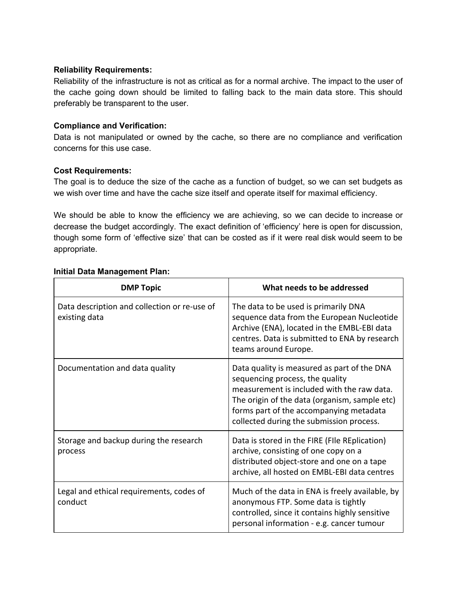#### **Reliability Requirements:**

Reliability of the infrastructure is not as critical as for a normal archive. The impact to the user of the cache going down should be limited to falling back to the main data store. This should preferably be transparent to the user.

## **Compliance and Verification:**

Data is not manipulated or owned by the cache, so there are no compliance and verification concerns for this use case.

## **Cost Requirements:**

The goal is to deduce the size of the cache as a function of budget, so we can set budgets as we wish over time and have the cache size itself and operate itself for maximal efficiency.

We should be able to know the efficiency we are achieving, so we can decide to increase or decrease the budget accordingly. The exact definition of 'efficiency' here is open for discussion, though some form of 'effective size' that can be costed as if it were real disk would seem to be appropriate.

| <b>DMP Topic</b>                                              | What needs to be addressed                                                                                                                                                                                                                                           |
|---------------------------------------------------------------|----------------------------------------------------------------------------------------------------------------------------------------------------------------------------------------------------------------------------------------------------------------------|
| Data description and collection or re-use of<br>existing data | The data to be used is primarily DNA<br>sequence data from the European Nucleotide<br>Archive (ENA), located in the EMBL-EBI data<br>centres. Data is submitted to ENA by research<br>teams around Europe.                                                           |
| Documentation and data quality                                | Data quality is measured as part of the DNA<br>sequencing process, the quality<br>measurement is included with the raw data.<br>The origin of the data (organism, sample etc)<br>forms part of the accompanying metadata<br>collected during the submission process. |
| Storage and backup during the research<br>process             | Data is stored in the FIRE (FIIe REplication)<br>archive, consisting of one copy on a<br>distributed object-store and one on a tape<br>archive, all hosted on EMBL-EBI data centres                                                                                  |
| Legal and ethical requirements, codes of<br>conduct           | Much of the data in ENA is freely available, by<br>anonymous FTP. Some data is tightly<br>controlled, since it contains highly sensitive<br>personal information - e.g. cancer tumour                                                                                |

#### **Initial Data Management Plan:**